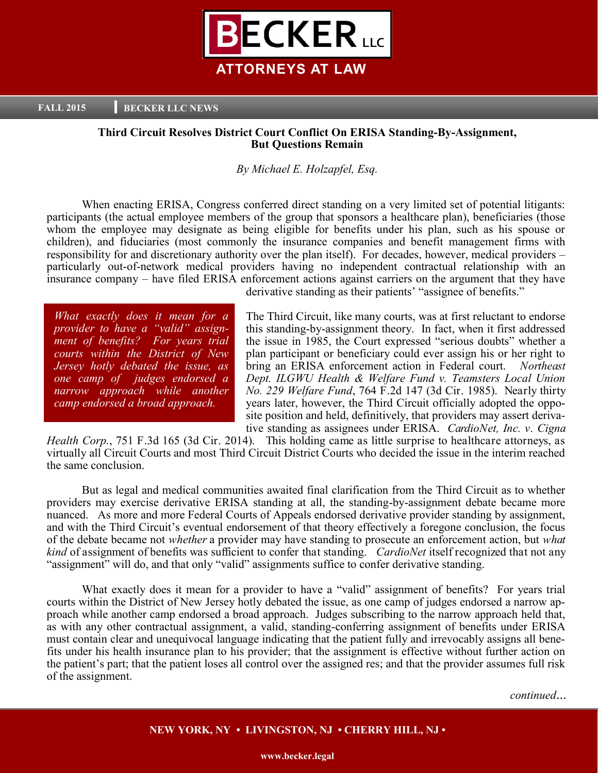

**FALL 2015 BECKER LLC NEWS** 

# **Third Circuit Resolves District Court Conflict On ERISA Standing-By-Assignment, But Questions Remain**

## *By Michael E. Holzapfel, Esq.*

When enacting ERISA, Congress conferred direct standing on a very limited set of potential litigants: participants (the actual employee members of the group that sponsors a healthcare plan), beneficiaries (those whom the employee may designate as being eligible for benefits under his plan, such as his spouse or children), and fiduciaries (most commonly the insurance companies and benefit management firms with responsibility for and discretionary authority over the plan itself). For decades, however, medical providers – particularly out-of-network medical providers having no independent contractual relationship with an insurance company – have filed ERISA enforcement actions against carriers on the argument that they have

*What exactly does it mean for a provider to have a "valid" assignment of benefits? For years trial courts within the District of New Jersey hotly debated the issue, as one camp of judges endorsed a narrow approach while another camp endorsed a broad approach.* 

derivative standing as their patients' "assignee of benefits."

The Third Circuit, like many courts, was at first reluctant to endorse this standing-by-assignment theory. In fact, when it first addressed the issue in 1985, the Court expressed "serious doubts" whether a plan participant or beneficiary could ever assign his or her right to bring an ERISA enforcement action in Federal court. *Northeast Dept. ILGWU Health & Welfare Fund v. Teamsters Local Union No. 229 Welfare Fund*, 764 F.2d 147 (3d Cir. 1985). Nearly thirty years later, however, the Third Circuit officially adopted the opposite position and held, definitively, that providers may assert derivative standing as assignees under ERISA. *CardioNet, Inc. v. Cigna* 

*Health Corp.*, 751 F.3d 165 (3d Cir. 2014). This holding came as little surprise to healthcare attorneys, as virtually all Circuit Courts and most Third Circuit District Courts who decided the issue in the interim reached the same conclusion.

But as legal and medical communities awaited final clarification from the Third Circuit as to whether providers may exercise derivative ERISA standing at all, the standing-by-assignment debate became more nuanced. As more and more Federal Courts of Appeals endorsed derivative provider standing by assignment, and with the Third Circuit's eventual endorsement of that theory effectively a foregone conclusion, the focus of the debate became not *whether* a provider may have standing to prosecute an enforcement action, but *what kind* of assignment of benefits was sufficient to confer that standing. *CardioNet* itself recognized that not any "assignment" will do, and that only "valid" assignments suffice to confer derivative standing.

What exactly does it mean for a provider to have a "valid" assignment of benefits? For years trial courts within the District of New Jersey hotly debated the issue, as one camp of judges endorsed a narrow approach while another camp endorsed a broad approach. Judges subscribing to the narrow approach held that, as with any other contractual assignment, a valid, standing-conferring assignment of benefits under ERISA must contain clear and unequivocal language indicating that the patient fully and irrevocably assigns all benefits under his health insurance plan to his provider; that the assignment is effective without further action on the patient's part; that the patient loses all control over the assigned res; and that the provider assumes full risk of the assignment.

*continued*...

# **NEW YORK, NY • LIVINGSTON, NJ • CHERRY HILL, NJ •**

**www.becker.legal**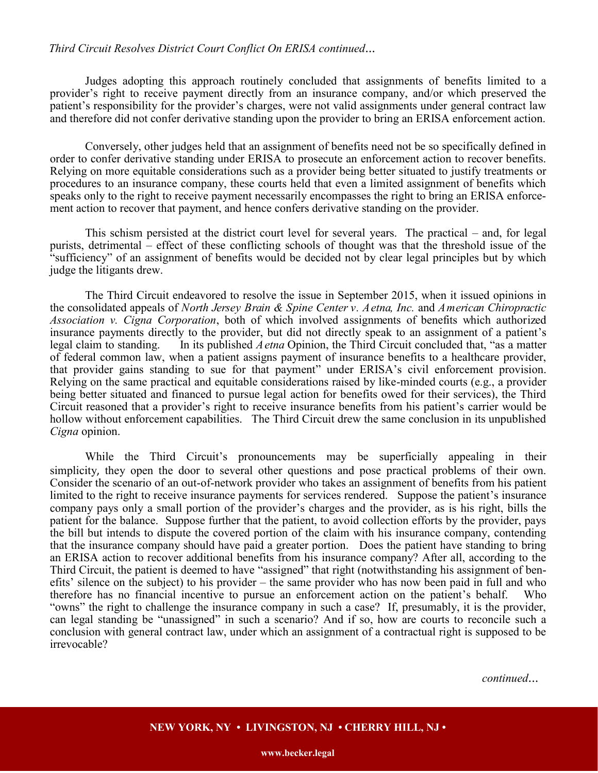## *Third Circuit Resolves District Court Conflict On ERISA continued*...

Judges adopting this approach routinely concluded that assignments of benefits limited to a provider's right to receive payment directly from an insurance company, and/or which preserved the patient's responsibility for the provider's charges, were not valid assignments under general contract law and therefore did not confer derivative standing upon the provider to bring an ERISA enforcement action.

Conversely, other judges held that an assignment of benefits need not be so specifically defined in order to confer derivative standing under ERISA to prosecute an enforcement action to recover benefits. Relying on more equitable considerations such as a provider being better situated to justify treatments or procedures to an insurance company, these courts held that even a limited assignment of benefits which speaks only to the right to receive payment necessarily encompasses the right to bring an ERISA enforcement action to recover that payment, and hence confers derivative standing on the provider.

This schism persisted at the district court level for several years. The practical – and, for legal purists, detrimental – effect of these conflicting schools of thought was that the threshold issue of the "sufficiency" of an assignment of benefits would be decided not by clear legal principles but by which judge the litigants drew.

The Third Circuit endeavored to resolve the issue in September 2015, when it issued opinions in the consolidated appeals of *North Jersey Brain & Spine Center v. Aetna, Inc.* and *American Chiropractic Association v. Cigna Corporation*, both of which involved assignments of benefits which authorized insurance payments directly to the provider, but did not directly speak to an assignment of a patient's legal claim to standing. In its published *Aetna* Opinion, the Third Circuit concluded that, "as a matter of federal common law, when a patient assigns payment of insurance benefits to a healthcare provider, that provider gains standing to sue for that payment" under ERISA's civil enforcement provision. Relying on the same practical and equitable considerations raised by like-minded courts (e.g., a provider being better situated and financed to pursue legal action for benefits owed for their services), the Third Circuit reasoned that a provider's right to receive insurance benefits from his patient's carrier would be hollow without enforcement capabilities. The Third Circuit drew the same conclusion in its unpublished *Cigna* opinion.

While the Third Circuit's pronouncements may be superficially appealing in their simplicity, they open the door to several other questions and pose practical problems of their own. Consider the scenario of an out-of-network provider who takes an assignment of benefits from his patient limited to the right to receive insurance payments for services rendered. Suppose the patient's insurance company pays only a small portion of the provider's charges and the provider, as is his right, bills the patient for the balance. Suppose further that the patient, to avoid collection efforts by the provider, pays the bill but intends to dispute the covered portion of the claim with his insurance company, contending that the insurance company should have paid a greater portion. Does the patient have standing to bring an ERISA action to recover additional benefits from his insurance company? After all, according to the Third Circuit, the patient is deemed to have "assigned" that right (notwithstanding his assignment of benefits' silence on the subject) to his provider – the same provider who has now been paid in full and who therefore has no financial incentive to pursue an enforcement action on the patient's behalf. Who "owns" the right to challenge the insurance company in such a case? If, presumably, it is the provider, can legal standing be "unassigned" in such a scenario? And if so, how are courts to reconcile such a conclusion with general contract law, under which an assignment of a contractual right is supposed to be irrevocable?

*continued*...

## **NEW YORK, NY • LIVINGSTON, NJ • CHERRY HILL, NJ •**